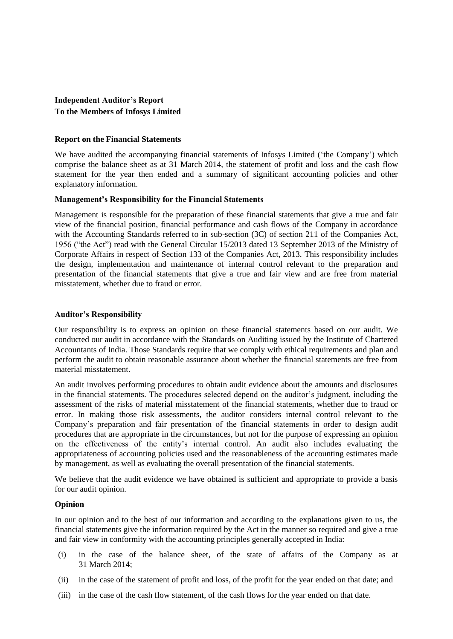# **Independent Auditor's Report To the Members of Infosys Limited**

#### **Report on the Financial Statements**

We have audited the accompanying financial statements of Infosys Limited ('the Company') which comprise the balance sheet as at 31 March 2014, the statement of profit and loss and the cash flow statement for the year then ended and a summary of significant accounting policies and other explanatory information.

#### **Management's Responsibility for the Financial Statements**

Management is responsible for the preparation of these financial statements that give a true and fair view of the financial position, financial performance and cash flows of the Company in accordance with the Accounting Standards referred to in sub-section (3C) of section 211 of the Companies Act, 1956 ("the Act") read with the General Circular 15/2013 dated 13 September 2013 of the Ministry of Corporate Affairs in respect of Section 133 of the Companies Act, 2013. This responsibility includes the design, implementation and maintenance of internal control relevant to the preparation and presentation of the financial statements that give a true and fair view and are free from material misstatement, whether due to fraud or error.

#### **Auditor's Responsibility**

Our responsibility is to express an opinion on these financial statements based on our audit. We conducted our audit in accordance with the Standards on Auditing issued by the Institute of Chartered Accountants of India. Those Standards require that we comply with ethical requirements and plan and perform the audit to obtain reasonable assurance about whether the financial statements are free from material misstatement.

An audit involves performing procedures to obtain audit evidence about the amounts and disclosures in the financial statements. The procedures selected depend on the auditor"s judgment, including the assessment of the risks of material misstatement of the financial statements, whether due to fraud or error. In making those risk assessments, the auditor considers internal control relevant to the Company"s preparation and fair presentation of the financial statements in order to design audit procedures that are appropriate in the circumstances, but not for the purpose of expressing an opinion on the effectiveness of the entity"s internal control. An audit also includes evaluating the appropriateness of accounting policies used and the reasonableness of the accounting estimates made by management, as well as evaluating the overall presentation of the financial statements.

We believe that the audit evidence we have obtained is sufficient and appropriate to provide a basis for our audit opinion.

### **Opinion**

In our opinion and to the best of our information and according to the explanations given to us, the financial statements give the information required by the Act in the manner so required and give a true and fair view in conformity with the accounting principles generally accepted in India:

- (i) in the case of the balance sheet, of the state of affairs of the Company as at 31 March 2014;
- (ii) in the case of the statement of profit and loss, of the profit for the year ended on that date; and
- (iii) in the case of the cash flow statement, of the cash flows for the year ended on that date.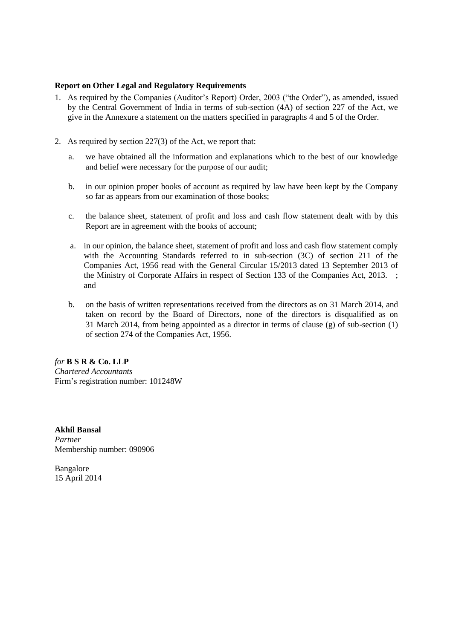## **Report on Other Legal and Regulatory Requirements**

- 1. As required by the Companies (Auditor"s Report) Order, 2003 ("the Order"), as amended, issued by the Central Government of India in terms of sub-section (4A) of section 227 of the Act, we give in the Annexure a statement on the matters specified in paragraphs 4 and 5 of the Order.
- 2. As required by section 227(3) of the Act, we report that:
	- a. we have obtained all the information and explanations which to the best of our knowledge and belief were necessary for the purpose of our audit;
	- b. in our opinion proper books of account as required by law have been kept by the Company so far as appears from our examination of those books;
	- c. the balance sheet, statement of profit and loss and cash flow statement dealt with by this Report are in agreement with the books of account;
	- a. in our opinion, the balance sheet, statement of profit and loss and cash flow statement comply with the Accounting Standards referred to in sub-section (3C) of section 211 of the Companies Act, 1956 read with the General Circular 15/2013 dated 13 September 2013 of the Ministry of Corporate Affairs in respect of Section 133 of the Companies Act, 2013. ; and
	- b. on the basis of written representations received from the directors as on 31 March 2014, and taken on record by the Board of Directors, none of the directors is disqualified as on 31 March 2014, from being appointed as a director in terms of clause (g) of sub-section (1) of section 274 of the Companies Act, 1956.

*for* **B S R & Co. LLP** *Chartered Accountants* Firm"s registration number: 101248W

**Akhil Bansal** *Partner* Membership number: 090906

Bangalore 15 April 2014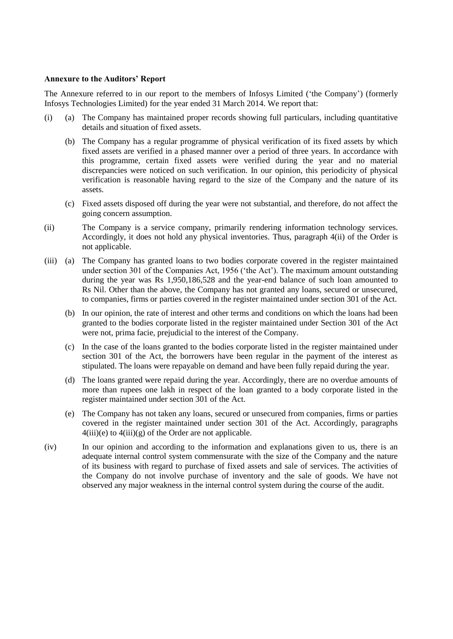#### **Annexure to the Auditors' Report**

The Annexure referred to in our report to the members of Infosys Limited ("the Company") (formerly Infosys Technologies Limited) for the year ended 31 March 2014. We report that:

- (i) (a) The Company has maintained proper records showing full particulars, including quantitative details and situation of fixed assets.
	- (b) The Company has a regular programme of physical verification of its fixed assets by which fixed assets are verified in a phased manner over a period of three years. In accordance with this programme, certain fixed assets were verified during the year and no material discrepancies were noticed on such verification. In our opinion, this periodicity of physical verification is reasonable having regard to the size of the Company and the nature of its assets.
	- (c) Fixed assets disposed off during the year were not substantial, and therefore, do not affect the going concern assumption.
- (ii) The Company is a service company, primarily rendering information technology services. Accordingly, it does not hold any physical inventories. Thus, paragraph 4(ii) of the Order is not applicable.
- (iii) (a) The Company has granted loans to two bodies corporate covered in the register maintained under section 301 of the Companies Act, 1956 ("the Act"). The maximum amount outstanding during the year was Rs 1,950,186,528 and the year-end balance of such loan amounted to Rs Nil. Other than the above, the Company has not granted any loans, secured or unsecured, to companies, firms or parties covered in the register maintained under section 301 of the Act.
	- (b) In our opinion, the rate of interest and other terms and conditions on which the loans had been granted to the bodies corporate listed in the register maintained under Section 301 of the Act were not, prima facie, prejudicial to the interest of the Company.
	- (c) In the case of the loans granted to the bodies corporate listed in the register maintained under section 301 of the Act, the borrowers have been regular in the payment of the interest as stipulated. The loans were repayable on demand and have been fully repaid during the year.
	- (d) The loans granted were repaid during the year. Accordingly, there are no overdue amounts of more than rupees one lakh in respect of the loan granted to a body corporate listed in the register maintained under section 301 of the Act.
	- (e) The Company has not taken any loans, secured or unsecured from companies, firms or parties covered in the register maintained under section 301 of the Act. Accordingly, paragraphs  $4(iii)(e)$  to  $4(iii)(g)$  of the Order are not applicable.
- (iv) In our opinion and according to the information and explanations given to us, there is an adequate internal control system commensurate with the size of the Company and the nature of its business with regard to purchase of fixed assets and sale of services. The activities of the Company do not involve purchase of inventory and the sale of goods. We have not observed any major weakness in the internal control system during the course of the audit.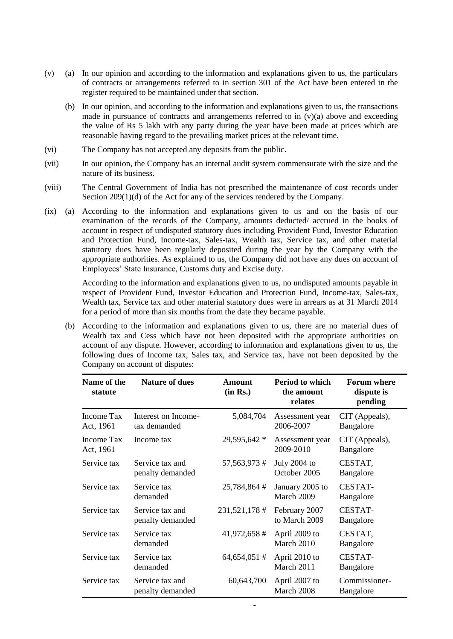- (v) (a) In our opinion and according to the information and explanations given to us, the particulars of contracts or arrangements referred to in section 301 of the Act have been entered in the register required to be maintained under that section.
	- (b) In our opinion, and according to the information and explanations given to us, the transactions made in pursuance of contracts and arrangements referred to in  $(v)(a)$  above and exceeding the value of Rs 5 lakh with any party during the year have been made at prices which are reasonable having regard to the prevailing market prices at the relevant time.
- (vi) The Company has not accepted any deposits from the public.
- (vii) In our opinion, the Company has an internal audit system commensurate with the size and the nature of its business.
- (viii) The Central Government of India has not prescribed the maintenance of cost records under Section 209(1)(d) of the Act for any of the services rendered by the Company.
- (ix) (a) According to the information and explanations given to us and on the basis of our examination of the records of the Company, amounts deducted/ accrued in the books of account in respect of undisputed statutory dues including Provident Fund, Investor Education and Protection Fund, Income-tax, Sales-tax, Wealth tax, Service tax, and other material statutory dues have been regularly deposited during the year by the Company with the appropriate authorities. As explained to us, the Company did not have any dues on account of Employees" State Insurance, Customs duty and Excise duty.

According to the information and explanations given to us, no undisputed amounts payable in respect of Provident Fund, Investor Education and Protection Fund, Income-tax, Sales-tax, Wealth tax, Service tax and other material statutory dues were in arrears as at 31 March 2014 for a period of more than six months from the date they became payable.

(b) According to the information and explanations given to us, there are no material dues of Wealth tax and Cess which have not been deposited with the appropriate authorities on account of any dispute. However, according to information and explanations given to us, the following dues of Income tax, Sales tax, and Service tax, have not been deposited by the Company on account of disputes:

| Name of the<br>statute  | <b>Nature of dues</b>               | Amount<br>(in Rs.) | <b>Period to which</b><br>the amount<br>relates | <b>Forum where</b><br>dispute is<br>pending |
|-------------------------|-------------------------------------|--------------------|-------------------------------------------------|---------------------------------------------|
| Income Tax<br>Act, 1961 | Interest on Income-<br>tax demanded | 5,084,704          | Assessment year<br>2006-2007                    | CIT (Appeals),<br>Bangalore                 |
| Income Tax<br>Act, 1961 | Income tax                          | 29,595,642 *       | Assessment year<br>2009-2010                    | CIT (Appeals),<br>Bangalore                 |
| Service tax             | Service tax and<br>penalty demanded | 57, 563, 973 #     | July 2004 to<br>October 2005                    | CESTAT,<br>Bangalore                        |
| Service tax             | Service tax<br>demanded             | 25,784,864#        | January 2005 to<br>March 2009                   | <b>CESTAT-</b><br>Bangalore                 |
| Service tax             | Service tax and<br>penalty demanded | 231,521,178 #      | February 2007<br>to March 2009                  | <b>CESTAT-</b><br>Bangalore                 |
| Service tax             | Service tax<br>demanded             | 41,972,658#        | April 2009 to<br>March 2010                     | CESTAT,<br>Bangalore                        |
| Service tax             | Service tax<br>demanded             | $64,654,051 \#$    | April 2010 to<br>March 2011                     | <b>CESTAT-</b><br>Bangalore                 |
| Service tax             | Service tax and<br>penalty demanded | 60,643,700         | April 2007 to<br>March 2008                     | Commissioner-<br>Bangalore                  |

-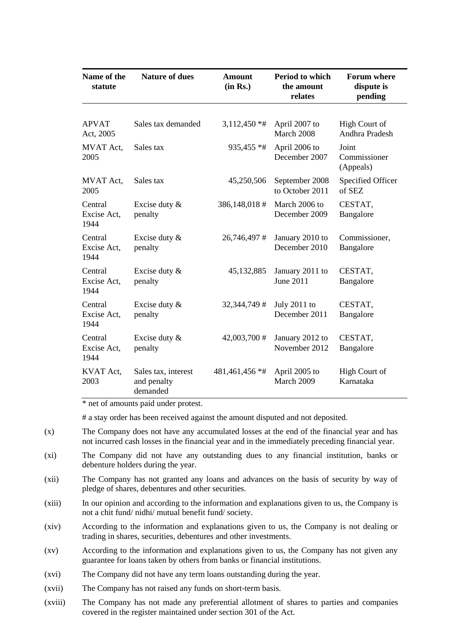| Name of the<br>statute         | <b>Nature of dues</b>                          | <b>Amount</b><br>(in Rs.) | Period to which<br>the amount<br>relates | <b>Forum where</b><br>dispute is<br>pending |
|--------------------------------|------------------------------------------------|---------------------------|------------------------------------------|---------------------------------------------|
|                                |                                                |                           |                                          |                                             |
| <b>APVAT</b><br>Act, 2005      | Sales tax demanded                             | $3,112,450**$             | April 2007 to<br>March 2008              | High Court of<br>Andhra Pradesh             |
| MVAT Act,<br>2005              | Sales tax                                      | 935,455 *#                | April 2006 to<br>December 2007           | Joint<br>Commissioner<br>(Appeals)          |
| MVAT Act,<br>2005              | Sales tax                                      | 45,250,506                | September 2008<br>to October 2011        | Specified Officer<br>of SEZ                 |
| Central<br>Excise Act,<br>1944 | Excise duty &<br>penalty                       | 386,148,018#              | March 2006 to<br>December 2009           | CESTAT,<br>Bangalore                        |
| Central<br>Excise Act,<br>1944 | Excise duty $\&$<br>penalty                    | 26,746,497#               | January 2010 to<br>December 2010         | Commissioner,<br>Bangalore                  |
| Central<br>Excise Act,<br>1944 | Excise duty &<br>penalty                       | 45,132,885                | January 2011 to<br>June 2011             | CESTAT,<br>Bangalore                        |
| Central<br>Excise Act,<br>1944 | Excise duty &<br>penalty                       | 32, 344, 749 #            | July $2011$ to<br>December 2011          | CESTAT,<br>Bangalore                        |
| Central<br>Excise Act,<br>1944 | Excise duty &<br>penalty                       | 42,003,700 #              | January 2012 to<br>November 2012         | CESTAT,<br>Bangalore                        |
| KVAT Act,<br>2003              | Sales tax, interest<br>and penalty<br>demanded | 481,461,456 *#            | April 2005 to<br>March 2009              | <b>High Court of</b><br>Karnataka           |

\* net of amounts paid under protest.

# a stay order has been received against the amount disputed and not deposited.

- (x) The Company does not have any accumulated losses at the end of the financial year and has not incurred cash losses in the financial year and in the immediately preceding financial year.
- (xi) The Company did not have any outstanding dues to any financial institution, banks or debenture holders during the year.
- (xii) The Company has not granted any loans and advances on the basis of security by way of pledge of shares, debentures and other securities.
- (xiii) In our opinion and according to the information and explanations given to us, the Company is not a chit fund/ nidhi/ mutual benefit fund/ society.
- (xiv) According to the information and explanations given to us, the Company is not dealing or trading in shares, securities, debentures and other investments.
- (xv) According to the information and explanations given to us, the Company has not given any guarantee for loans taken by others from banks or financial institutions.
- (xvi) The Company did not have any term loans outstanding during the year.
- (xvii) The Company has not raised any funds on short-term basis.
- (xviii) The Company has not made any preferential allotment of shares to parties and companies covered in the register maintained under section 301 of the Act.